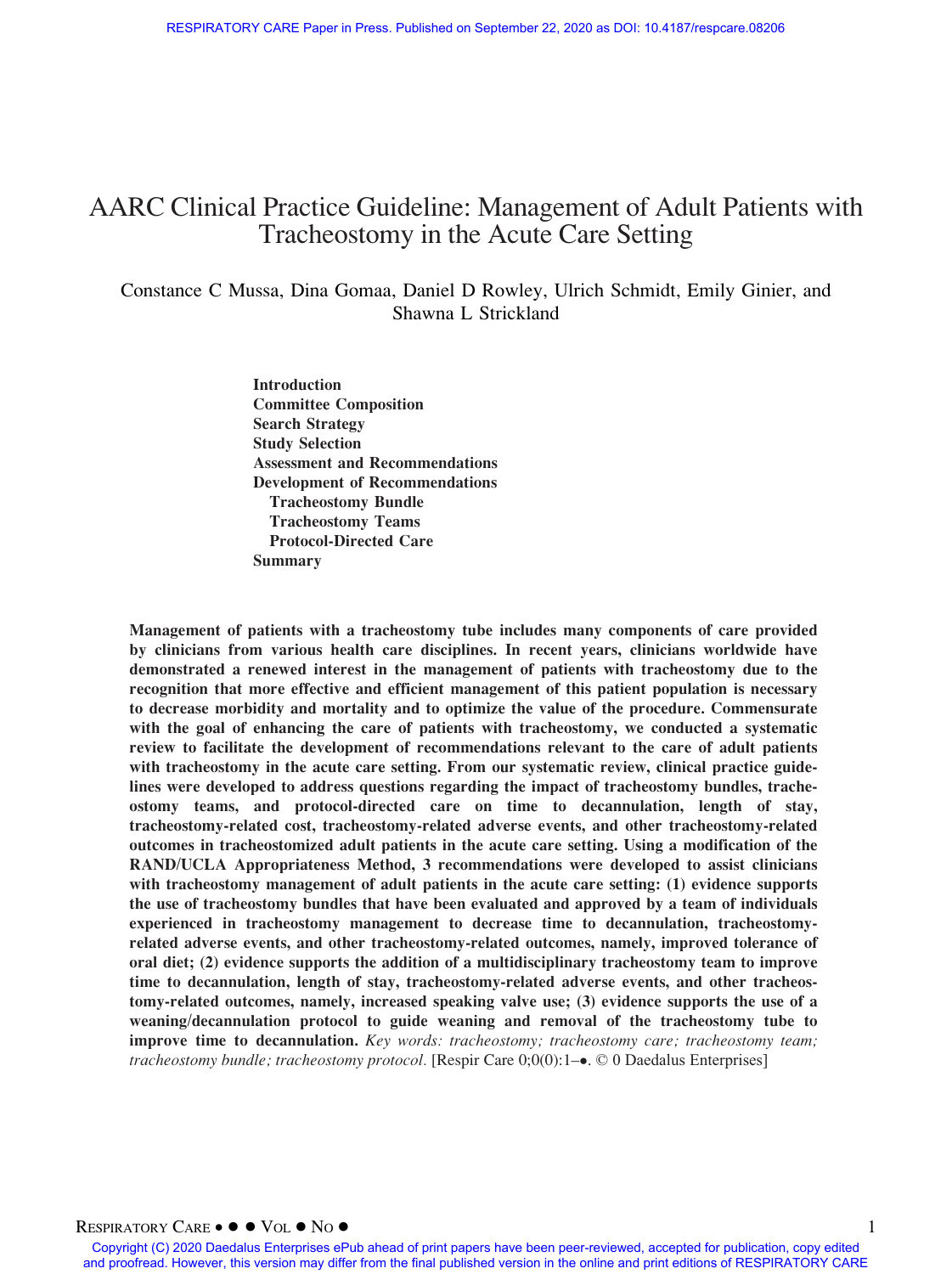# AARC Clinical Practice Guideline: Management of Adult Patients with Tracheostomy in the Acute Care Setting

Constance C Mussa, Dina Gomaa, Daniel D Rowley, Ulrich Schmidt, Emily Ginier, and Shawna L Strickland

> Introduction Committee Composition Search Strategy Study Selection Assessment and Recommendations Development of Recommendations Tracheostomy Bundle Tracheostomy Teams Protocol-Directed Care Summary

Management of patients with a tracheostomy tube includes many components of care provided by clinicians from various health care disciplines. In recent years, clinicians worldwide have demonstrated a renewed interest in the management of patients with tracheostomy due to the recognition that more effective and efficient management of this patient population is necessary to decrease morbidity and mortality and to optimize the value of the procedure. Commensurate with the goal of enhancing the care of patients with tracheostomy, we conducted a systematic review to facilitate the development of recommendations relevant to the care of adult patients with tracheostomy in the acute care setting. From our systematic review, clinical practice guidelines were developed to address questions regarding the impact of tracheostomy bundles, tracheostomy teams, and protocol-directed care on time to decannulation, length of stay, tracheostomy-related cost, tracheostomy-related adverse events, and other tracheostomy-related outcomes in tracheostomized adult patients in the acute care setting. Using a modification of the RAND/UCLA Appropriateness Method, 3 recommendations were developed to assist clinicians with tracheostomy management of adult patients in the acute care setting: (1) evidence supports the use of tracheostomy bundles that have been evaluated and approved by a team of individuals experienced in tracheostomy management to decrease time to decannulation, tracheostomyrelated adverse events, and other tracheostomy-related outcomes, namely, improved tolerance of oral diet; (2) evidence supports the addition of a multidisciplinary tracheostomy team to improve time to decannulation, length of stay, tracheostomy-related adverse events, and other tracheostomy-related outcomes, namely, increased speaking valve use; (3) evidence supports the use of a weaning/decannulation protocol to guide weaning and removal of the tracheostomy tube to improve time to decannulation. Key words: tracheostomy; tracheostomy care; tracheostomy team; tracheostomy bundle; tracheostomy protocol. [Respir Care  $0;0(0)$ :1- $\bullet$ . © 0 Daedalus Enterprises]

RESPIRATORY  $\text{CARE} \bullet \textcolor{red}{\bullet} \textcolor{blue}{\bullet} \text{No} \textcolor{red}{\bullet}$ <br>Copyright (C) 2020 Daedalus Enterprises ePub ahead of print papers have been peer-reviewed, accepted for publication, copy edited and proofread. However, this version may differ from the final published version in the online and print editions of RESPIRATORY CARE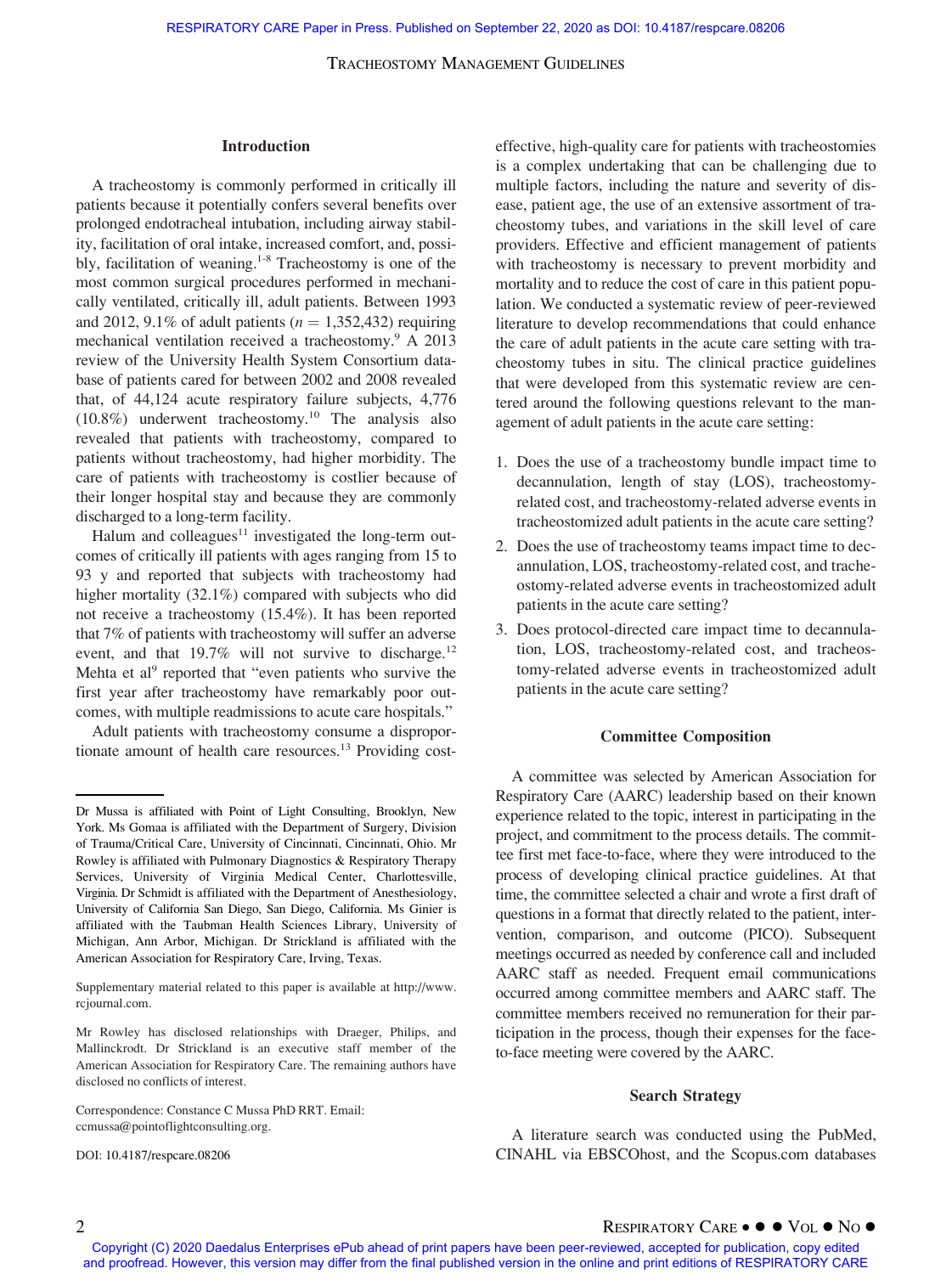# Introduction

A tracheostomy is commonly performed in critically ill patients because it potentially confers several benefits over prolonged endotracheal intubation, including airway stability, facilitation of oral intake, increased comfort, and, possibly, facilitation of weaning.<sup>1-8</sup> Tracheostomy is one of the most common surgical procedures performed in mechanically ventilated, critically ill, adult patients. Between 1993 and 2012, 9.1% of adult patients ( $n = 1,352,432$ ) requiring mechanical ventilation received a tracheostomy.<sup>9</sup> A 2013 review of the University Health System Consortium database of patients cared for between 2002 and 2008 revealed that, of 44,124 acute respiratory failure subjects, 4,776  $(10.8\%)$  underwent tracheostomy.<sup>10</sup> The analysis also revealed that patients with tracheostomy, compared to patients without tracheostomy, had higher morbidity. The care of patients with tracheostomy is costlier because of their longer hospital stay and because they are commonly discharged to a long-term facility.

Halum and colleagues $11$  investigated the long-term outcomes of critically ill patients with ages ranging from 15 to 93 y and reported that subjects with tracheostomy had higher mortality (32.1%) compared with subjects who did not receive a tracheostomy (15.4%). It has been reported that 7% of patients with tracheostomy will suffer an adverse event, and that  $19.7\%$  will not survive to discharge.<sup>12</sup> Mehta et al $<sup>9</sup>$  reported that "even patients who survive the</sup> first year after tracheostomy have remarkably poor outcomes, with multiple readmissions to acute care hospitals."

Adult patients with tracheostomy consume a disproportionate amount of health care resources. $13$  Providing cost-

Supplementary material related to this paper is available at [http://www.](http://www.rcjournal.com) [rcjournal.com](http://www.rcjournal.com).

Mr Rowley has disclosed relationships with Draeger, Philips, and Mallinckrodt. Dr Strickland is an executive staff member of the American Association for Respiratory Care. The remaining authors have disclosed no conflicts of interest.

Correspondence: Constance C Mussa PhD RRT. Email: [ccmussa@pointoflightconsulting.org.](mailto:ccmussa@pointoflightconsulting.org)

DOI: 10.4187/respcare.08206

effective, high-quality care for patients with tracheostomies is a complex undertaking that can be challenging due to multiple factors, including the nature and severity of disease, patient age, the use of an extensive assortment of tracheostomy tubes, and variations in the skill level of care providers. Effective and efficient management of patients with tracheostomy is necessary to prevent morbidity and mortality and to reduce the cost of care in this patient population. We conducted a systematic review of peer-reviewed literature to develop recommendations that could enhance the care of adult patients in the acute care setting with tracheostomy tubes in situ. The clinical practice guidelines that were developed from this systematic review are centered around the following questions relevant to the management of adult patients in the acute care setting:

- 1. Does the use of a tracheostomy bundle impact time to decannulation, length of stay (LOS), tracheostomyrelated cost, and tracheostomy-related adverse events in tracheostomized adult patients in the acute care setting?
- 2. Does the use of tracheostomy teams impact time to decannulation, LOS, tracheostomy-related cost, and tracheostomy-related adverse events in tracheostomized adult patients in the acute care setting?
- 3. Does protocol-directed care impact time to decannulation, LOS, tracheostomy-related cost, and tracheostomy-related adverse events in tracheostomized adult patients in the acute care setting?

### Committee Composition

A committee was selected by American Association for Respiratory Care (AARC) leadership based on their known experience related to the topic, interest in participating in the project, and commitment to the process details. The committee first met face-to-face, where they were introduced to the process of developing clinical practice guidelines. At that time, the committee selected a chair and wrote a first draft of questions in a format that directly related to the patient, intervention, comparison, and outcome (PICO). Subsequent meetings occurred as needed by conference call and included AARC staff as needed. Frequent email communications occurred among committee members and AARC staff. The committee members received no remuneration for their participation in the process, though their expenses for the faceto-face meeting were covered by the AARC.

#### Search Strategy

A literature search was conducted using the PubMed, CINAHL via EBSCOhost, and the Scopus.com databases

Dr Mussa is affiliated with Point of Light Consulting, Brooklyn, New York. Ms Gomaa is affiliated with the Department of Surgery, Division of Trauma/Critical Care, University of Cincinnati, Cincinnati, Ohio. Mr Rowley is affiliated with Pulmonary Diagnostics & Respiratory Therapy Services, University of Virginia Medical Center, Charlottesville, Virginia. Dr Schmidt is affiliated with the Department of Anesthesiology, University of California San Diego, San Diego, California. Ms Ginier is affiliated with the Taubman Health Sciences Library, University of Michigan, Ann Arbor, Michigan. Dr Strickland is affiliated with the American Association for Respiratory Care, Irving, Texas.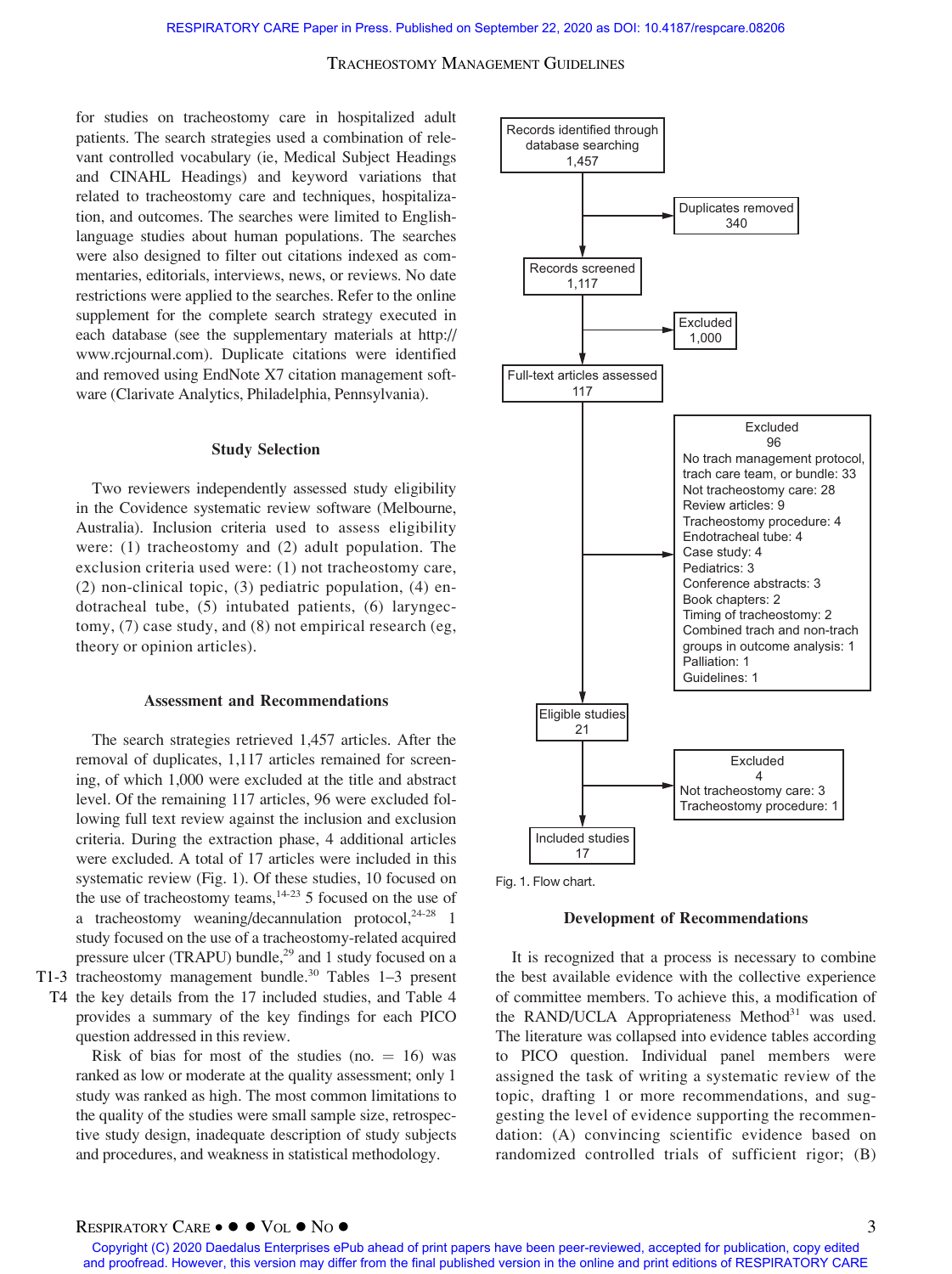for studies on tracheostomy care in hospitalized adult patients. The search strategies used a combination of relevant controlled vocabulary (ie, Medical Subject Headings and CINAHL Headings) and keyword variations that related to tracheostomy care and techniques, hospitalization, and outcomes. The searches were limited to Englishlanguage studies about human populations. The searches were also designed to filter out citations indexed as commentaries, editorials, interviews, news, or reviews. No date restrictions were applied to the searches. Refer to the online supplement for the complete search strategy executed in each database (see the supplementary materials at [http://](http://www.rcjournal.com) [www.rcjournal.com](http://www.rcjournal.com)). Duplicate citations were identified and removed using EndNote X7 citation management software (Clarivate Analytics, Philadelphia, Pennsylvania).

### Study Selection

Two reviewers independently assessed study eligibility in the Covidence systematic review software (Melbourne, Australia). Inclusion criteria used to assess eligibility were: (1) tracheostomy and (2) adult population. The exclusion criteria used were: (1) not tracheostomy care, (2) non-clinical topic, (3) pediatric population, (4) endotracheal tube, (5) intubated patients, (6) laryngectomy, (7) case study, and (8) not empirical research (eg, theory or opinion articles).

# Assessment and Recommendations

The search strategies retrieved 1,457 articles. After the removal of duplicates, 1,117 articles remained for screening, of which 1,000 were excluded at the title and abstract level. Of the remaining 117 articles, 96 were excluded following full text review against the inclusion and exclusion criteria. During the extraction phase, 4 additional articles were excluded. A total of 17 articles were included in this systematic review (Fig. 1). Of these studies, 10 focused on the use of tracheostomy teams,  $14-23$  5 focused on the use of a tracheostomy weaning/decannulation protocol, $24-28$  1 study focused on the use of a tracheostomy-related acquired pressure ulcer (TRAPU) bundle,<sup>29</sup> and 1 study focused on a

T1-3 tracheostomy management bundle. $30$  Tables 1–3 present T4 the key details from the 17 included studies, and Table 4 provides a summary of the key findings for each PICO question addressed in this review.

Risk of bias for most of the studies (no.  $= 16$ ) was ranked as low or moderate at the quality assessment; only 1 study was ranked as high. The most common limitations to the quality of the studies were small sample size, retrospective study design, inadequate description of study subjects and procedures, and weakness in statistical methodology.



Fig. 1. Flow chart.

#### Development of Recommendations

It is recognized that a process is necessary to combine the best available evidence with the collective experience of committee members. To achieve this, a modification of the RAND/UCLA Appropriateness Method<sup>31</sup> was used. The literature was collapsed into evidence tables according to PICO question. Individual panel members were assigned the task of writing a systematic review of the topic, drafting 1 or more recommendations, and suggesting the level of evidence supporting the recommendation: (A) convincing scientific evidence based on randomized controlled trials of sufficient rigor; (B)

RESPIRATORY  $\text{CARE} \bullet \textcolor{red}{\bullet} \textcolor{blue}{\bullet} \text{No} \textcolor{red}{\bullet}$ <br>Copyright (C) 2020 Daedalus Enterprises ePub ahead of print papers have been peer-reviewed, accepted for publication, copy edited and proofread. However, this version may differ from the final published version in the online and print editions of RESPIRATORY CARE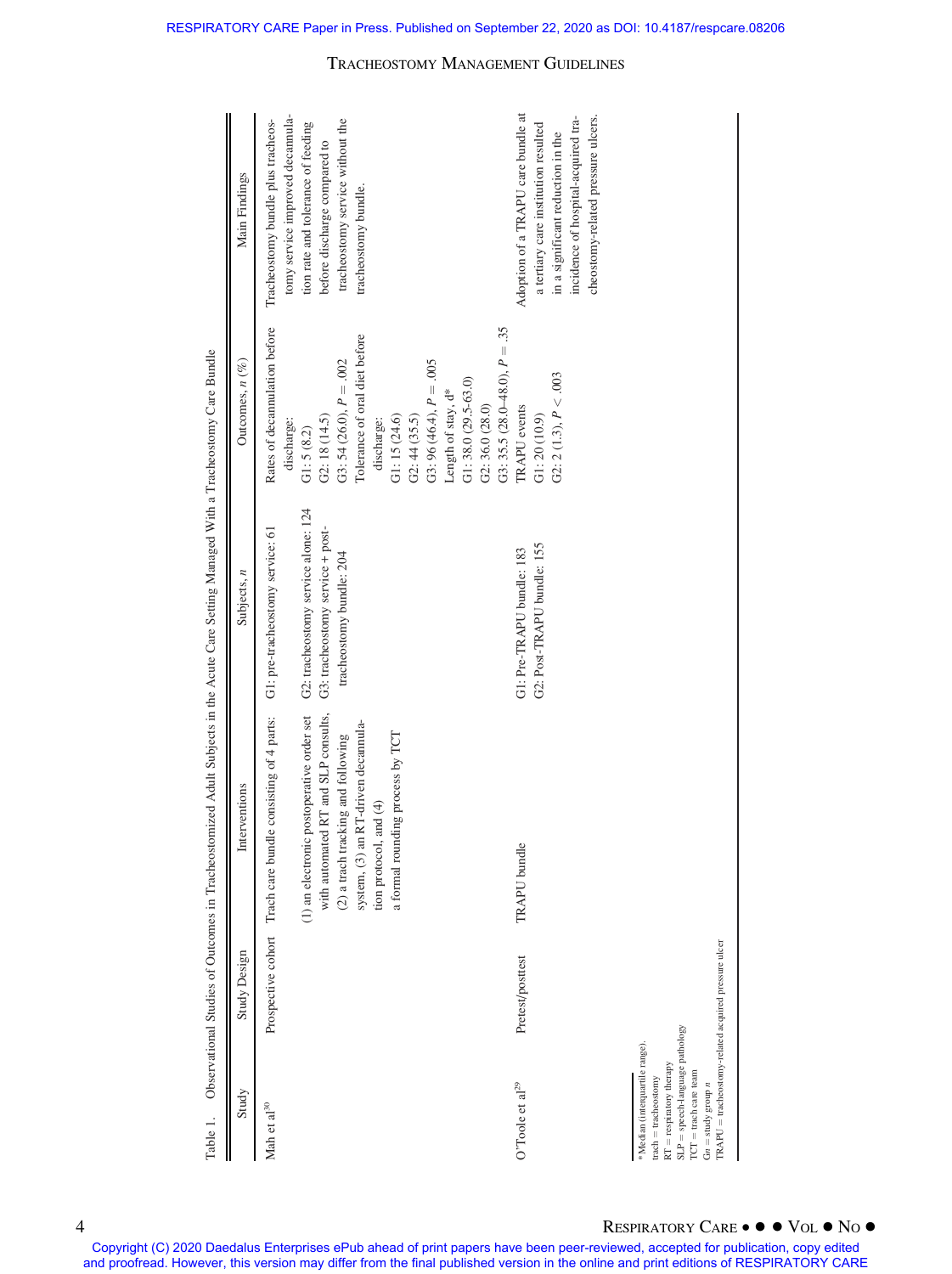| Study                                                                                                                                                                                           | Study Design                                         | Interventions                                                                                                                                                                                                                                                                                                                    | Subjects, $n$                                                                                       | Outcomes, $n(\%)$                                                                                                                                                                                                                                                                                                           | Main Findings                                                                                                                                                                                            |
|-------------------------------------------------------------------------------------------------------------------------------------------------------------------------------------------------|------------------------------------------------------|----------------------------------------------------------------------------------------------------------------------------------------------------------------------------------------------------------------------------------------------------------------------------------------------------------------------------------|-----------------------------------------------------------------------------------------------------|-----------------------------------------------------------------------------------------------------------------------------------------------------------------------------------------------------------------------------------------------------------------------------------------------------------------------------|----------------------------------------------------------------------------------------------------------------------------------------------------------------------------------------------------------|
| Mah et al $^{30}$                                                                                                                                                                               |                                                      | Prospective cohort Trach care bundle consisting of 4 parts: G1: pre-tracheostomy service: 61<br>with automated RT and SLP consults,<br>(1) an electronic postoperative order set<br>system, (3) an RT-driven decannula-<br>a formal rounding process by TCT<br>(2) a trach tracking and following<br>and $(4)$<br>tion protocol, | G2: tracheostomy service alone: 124<br>G3: tracheostomy service + post-<br>tracheostomy bundle: 204 | Rates of decannulation before<br>G3: 35.5 $(28.0-48.0)$ , $P = .35$<br>Tolerance of oral diet before<br>G3: 54 (26.0), $P = .002$<br>G3: 96 (46.4), $P = .005$<br>$G1: 38.0 (29.5-63.0)$<br>Length of stay, d*<br>G2: 36.0 (28.0)<br>G1: 15(24.6)<br>G2: 18(14.5)<br>G2: 44(35.5)<br>discharge:<br>discharge:<br>G1: 5(8.2) | tomy service improved decannula-<br>Tracheostomy bundle plus tracheos-<br>tracheostomy service without the<br>tion rate and tolerance of feeding<br>before discharge compared to<br>tracheostomy bundle. |
| O'Toole et al <sup>29</sup>                                                                                                                                                                     | Pretest/posttest                                     | <b>TRAPU</b> bundle                                                                                                                                                                                                                                                                                                              | G2: Post-TRAPU bundle: 155<br>G1: Pre-TRAPU bundle: 183                                             | G2: $2(1.3), P < 0.03$<br><b>TRAPU</b> events<br>G1: 20(10.9)                                                                                                                                                                                                                                                               | Adoption of a TRAPU care bundle at<br>incidence of hospital-acquired tra-<br>cheostomy-related pressure ulcers.<br>a tertiary care institution resulted<br>in a significant reduction in the             |
| SLP = speech-language pathology<br>* Median (interquartile range).<br>$RT =$ respiratory therapy<br>$TCT =$ trach care team<br>$\text{track} = \text{traches}$<br>$G_n = \text{study group } n$ | TRAPU = tracheostomy-related acquired pressure ulcer |                                                                                                                                                                                                                                                                                                                                  |                                                                                                     |                                                                                                                                                                                                                                                                                                                             |                                                                                                                                                                                                          |

Observational Studies of Outcomes in Tracheostomized Adult Subjects in the Acute Care Setting Managed With a Tracheostomy Care Bundle Table 1. Observational Studies of Outcomes in Tracheostomized Adult Subjects in the Acute Care Setting Managed With a Tracheostomy Care Bundle Table 1.

# TRACHEOSTOMY MANAGEMENT GUIDELINES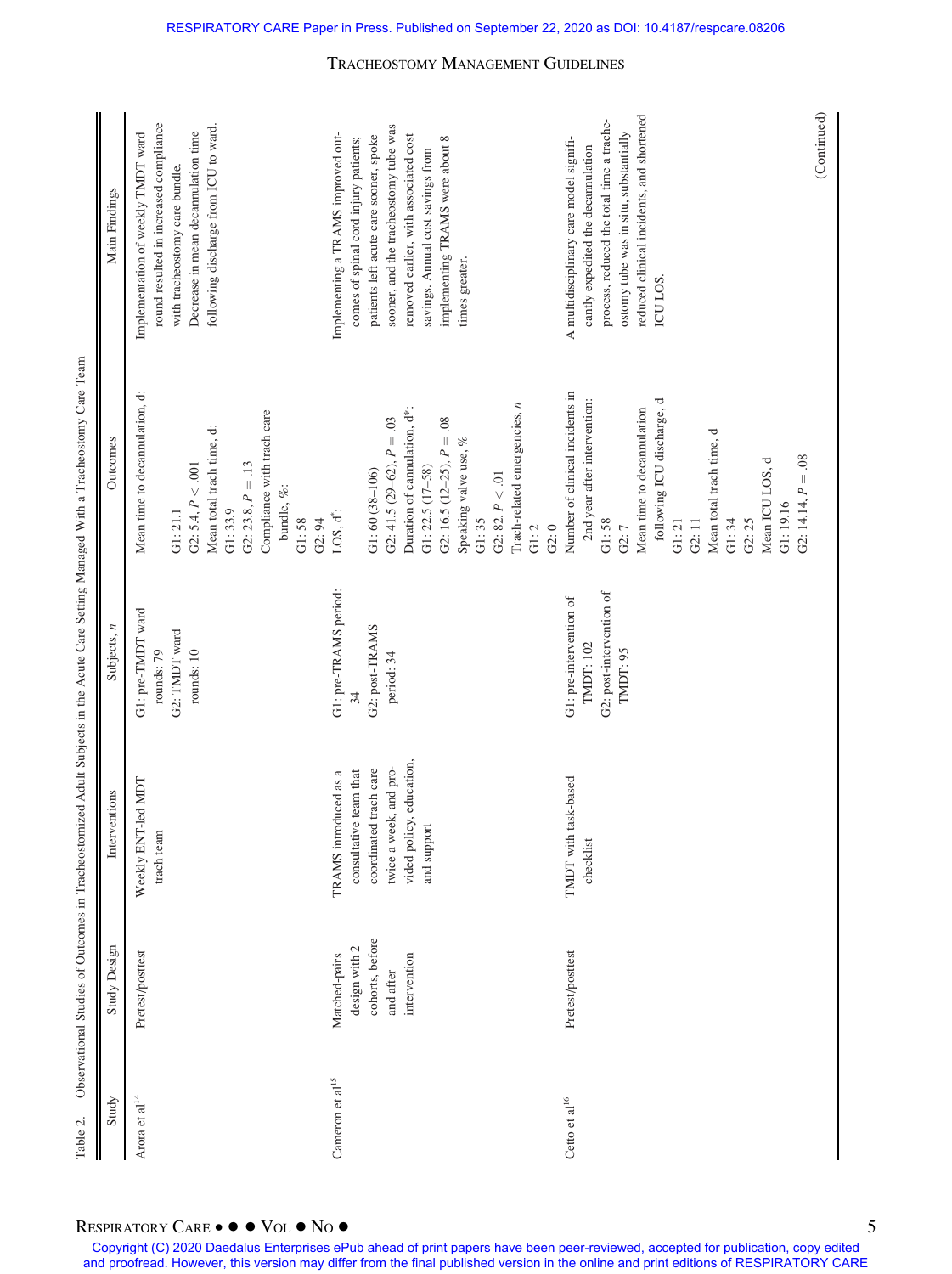| Study                 | Study Design                                                                   | Interventions                                                                                                                                  | Subjects, n                                                                         | Outcomes                                                                                                                                                                                                                                                               | Main Findings                                                                                                                                                                                                                                                                                     |
|-----------------------|--------------------------------------------------------------------------------|------------------------------------------------------------------------------------------------------------------------------------------------|-------------------------------------------------------------------------------------|------------------------------------------------------------------------------------------------------------------------------------------------------------------------------------------------------------------------------------------------------------------------|---------------------------------------------------------------------------------------------------------------------------------------------------------------------------------------------------------------------------------------------------------------------------------------------------|
| Arora et al $^{14}$   | Pretest/posttest                                                               | <b>T-led MDT</b><br>trach team<br>Weekly EN                                                                                                    | G1: pre-TMDT ward<br>G2: TMDT ward<br>rounds: $79$<br>rounds: 10                    | Mean time to decamulation, d:<br>Compliance with trach care<br>Mean total trach time, d:<br>G2: $5.4, P < .001$<br>$G2: 23.8, P = .13$<br>bundle, $\%$ :<br>G1:33.9<br>G1: 21.1<br>G1:58<br>G2:94                                                                      | round resulted in increased compliance<br>following discharge from ICU to ward.<br>Decrease in mean decannulation time<br>Implementation of weekly TMDT ward<br>with tracheostomy care bundle.                                                                                                    |
| Cameron et al $^{15}$ | cohorts, before<br>design with 2<br>Matched-pairs<br>intervention<br>and after | vided policy, education,<br>twice a week, and pro-<br>coordinated trach care<br>consultative team that<br>TRAMS introduced as a<br>and support | G1: pre-TRAMS period:<br>G2: post-TRAMS<br>period: 34<br>34                         | Trach-related emergencies, n<br>Duration of cannulation, d*:<br>G2: 41.5 (29-62), $P = .03$<br>G2: 16.5 (12-25), $P = .08$<br>Speaking valve use, %<br>$G1: 22.5 (17-58)$<br>$G1:60(38-106)$<br>G2: $82, P < .01$<br>$LOS, d^*$ :<br>G1:35<br>G1:2<br>G2:0             | sooner, and the tracheostomy tube was<br>Implementing a TRAMS improved out-<br>removed earlier, with associated cost<br>patients left acute care sooner, spoke<br>implementing TRAMS were about 8<br>comes of spinal cord injury patients;<br>savings. Annual cost savings from<br>times greater. |
| Cetto et al $^{16}$   | Pretest/posttest                                                               | TMDT with task-based<br>checklist                                                                                                              | G2: post-intervention of<br>G1: pre-intervention of<br><b>TMDT: 102</b><br>TMDT: 95 | Number of clinical incidents in<br>2nd year after intervention:<br>following ICU discharge, d<br>Mean time to decannulation<br>Mean total trach time, d<br>G2: $14.14$ , $P = .08$<br>Mean ICU LOS, d<br>G1:19.16<br>G1:58<br>G1:34<br>G2:25<br>G1:21<br>G2:11<br>G2:7 | (Continued)<br>reduced clinical incidents, and shortened<br>process, reduced the total time a trache-<br>ostomy tube was in situ, substantially<br>A multidisciplinary care model signifi-<br>cantly expedited the decannulation<br><b>ICU LOS.</b>                                               |
|                       |                                                                                |                                                                                                                                                |                                                                                     |                                                                                                                                                                                                                                                                        |                                                                                                                                                                                                                                                                                                   |

Observational Studies of Outcomes in Tracheostomized Adult Subjects in the Acute Care Setting Managed With a Tracheostomy Care Team Table 2. Observational Studies of Outcomes in Tracheostomized Adult Subjects in the Acute Care Setting Managed With a Tracheostomy Care Team Table 2.

TRACHEOSTOMY MANAGEMENT GUIDELINES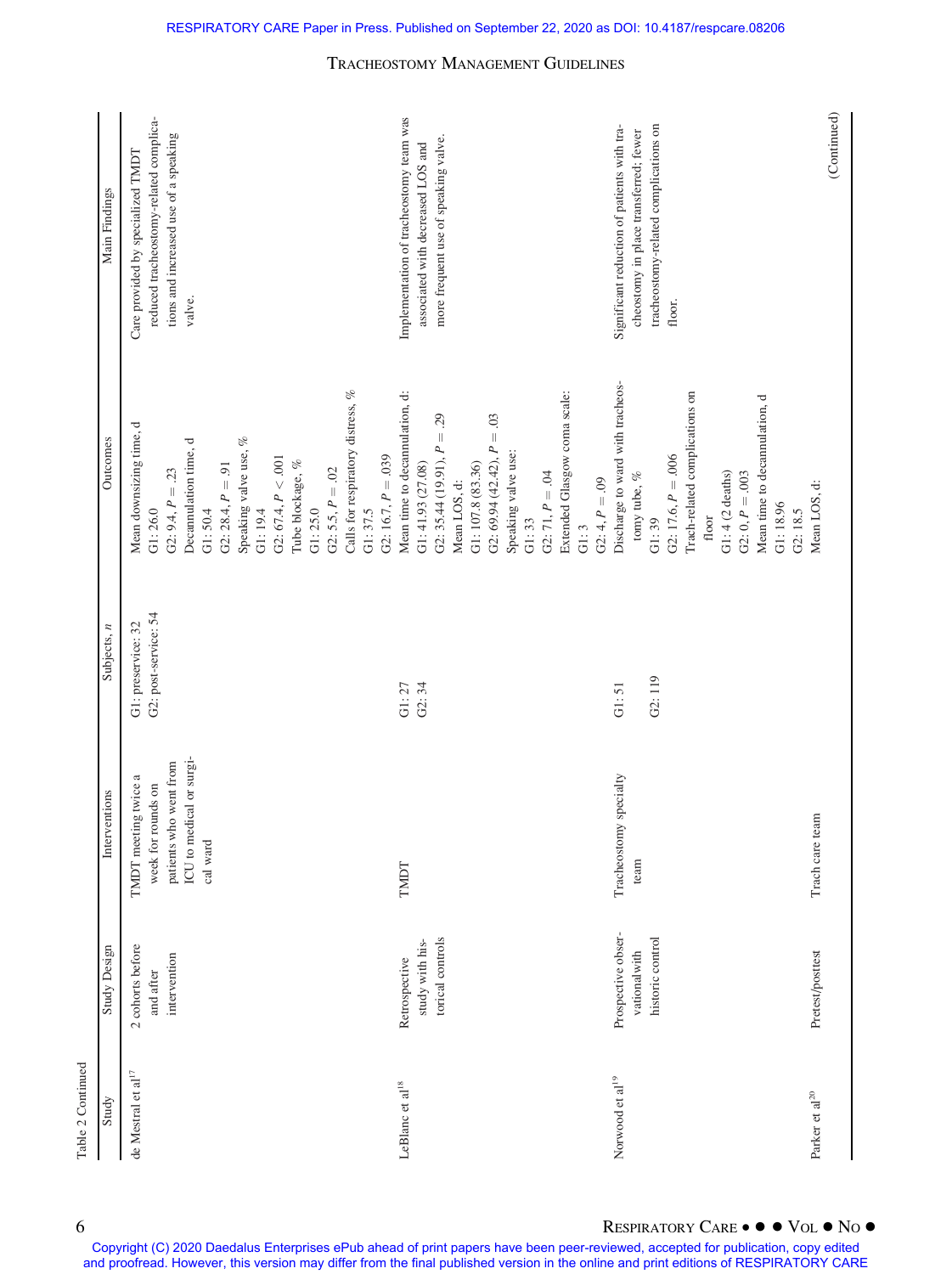| Study                                               | Study Design                                                               | Interventions                                                                                                | Subjects, n                                | Outcomes                                                                                                                                                                                                                                                                                                            | Main Findings                                                                                                                           |
|-----------------------------------------------------|----------------------------------------------------------------------------|--------------------------------------------------------------------------------------------------------------|--------------------------------------------|---------------------------------------------------------------------------------------------------------------------------------------------------------------------------------------------------------------------------------------------------------------------------------------------------------------------|-----------------------------------------------------------------------------------------------------------------------------------------|
| de Mestral et al $^{17}$                            | 2 cohorts before<br>intervention<br>and after                              | ICU to medical or surgi-<br>patients who went from<br>TMDT meeting twice a<br>week for rounds on<br>cal ward | G2: post-service: 54<br>G1: preservice: 32 | Calls for respiratory distress, $\%$<br>Mean downsizing time, d<br>Speaking valve use, $\%$<br>Decannulation time, d<br>G2: $16.7, P = .039$<br>G2: $67.4, P < .001$<br>Tube blockage, %<br>G2: $28.4, P = .91$<br>G2: $5.5, P = .02$<br>$G2: 9.4, P = .23$<br>G1: 25.0<br>G1:37.5<br>G1:50.4<br>G1:19.4<br>G1:26.0 | reduced tracheostomy-related complica-<br>tions and increased use of a speaking<br>Care provided by specialized TMDT<br>valve.          |
| LeBlanc et al $^{18}$                               | torical controls<br>study with his-<br>Retrospective                       | TMDT                                                                                                         | G2: 34<br>G1:27                            | Mean time to decamulation, d:<br>Extended Glasgow coma scale:<br>G2: 35.44 (19.91), $P = .29$<br>G2: 69.94 (42.42), $P = .03$<br>Speaking valve use:<br>G1: 107.8 (83.36)<br>G1: 41.93 (27.08)<br>$G2: 71, P = .04$<br>$G2: 4, P = .09$<br>Mean LOS, d:<br>G1:33<br>G1:3                                            | Implementation of tracheostomy team was<br>more frequent use of speaking valve.<br>associated with decreased LOS and                    |
| Norwood et al $^{19}$<br>Parker et al <sup>20</sup> | Prospective obser-<br>historic control<br>Pretest/posttest<br>vationalwith | Tracheostomy specialty<br>Trach care team<br>team                                                            | G2:119<br>G1:51                            | Discharge to ward with tracheos-<br>Trach-related complications on<br>Mean time to decannulation, d<br>G2: $17.6, P = .006$<br>G1: 4 (2 deaths)<br>G2: 0, $P = .003$<br>tomy tube, $\%$<br>Mean LOS, d:<br>G1:18.96<br>G2:18.5<br>floor<br>G1:39                                                                    | tracheostomy-related complications on<br>Significant reduction of patients with tra-<br>cheostomy in place transferred; fewer<br>floor. |
|                                                     |                                                                            |                                                                                                              |                                            |                                                                                                                                                                                                                                                                                                                     | (Continued)                                                                                                                             |

Table 2 Continued

Table 2 Continued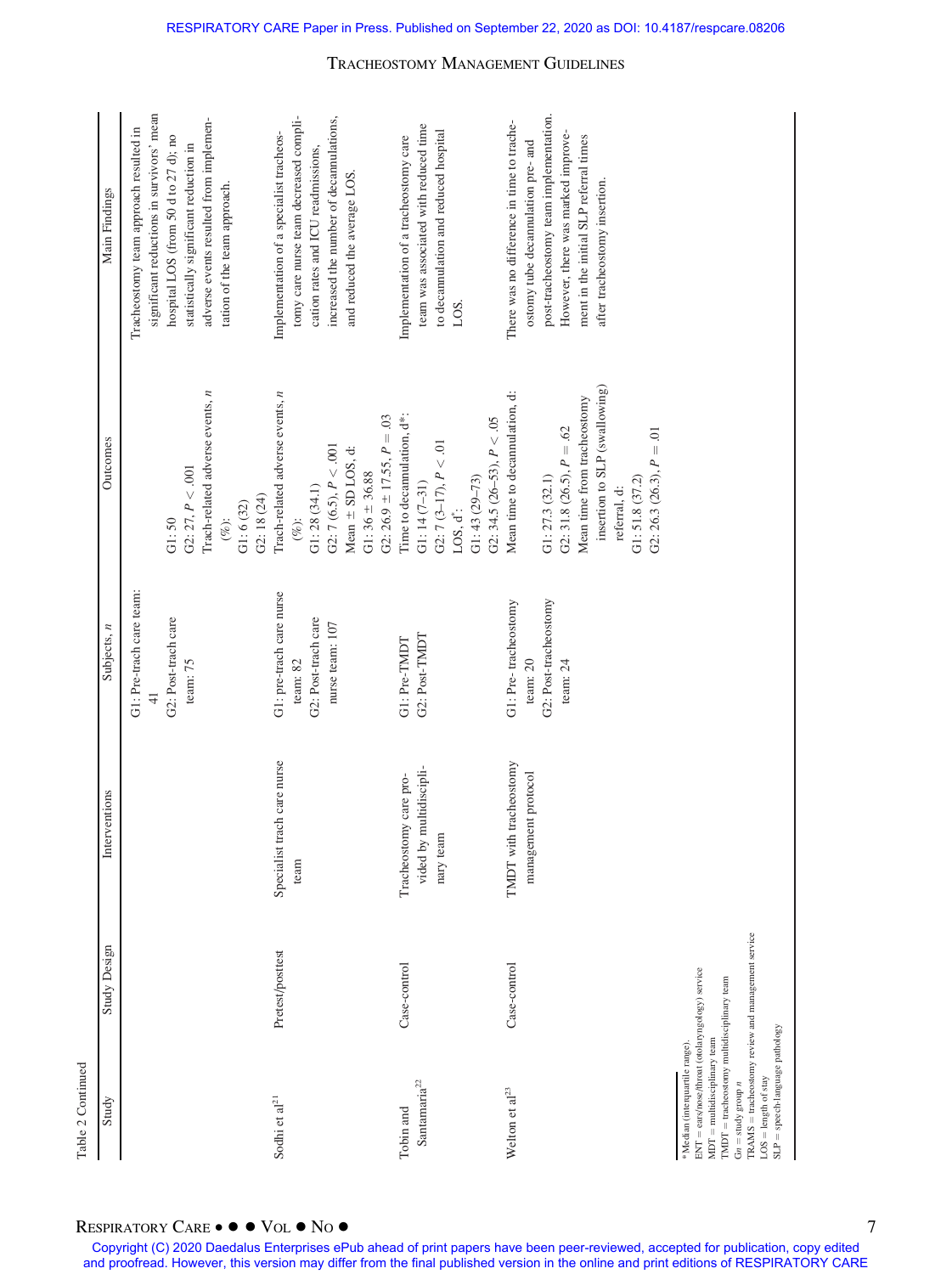| Table 2 Continued                                                                  |                                                    |                             |                                           |                                  |                                                                                     |
|------------------------------------------------------------------------------------|----------------------------------------------------|-----------------------------|-------------------------------------------|----------------------------------|-------------------------------------------------------------------------------------|
| Study                                                                              | Study Design                                       | Interventions               | Subjects, n                               | Outcomes                         | Main Findings                                                                       |
|                                                                                    |                                                    |                             | G1: Pre-trach care team:<br>$\frac{1}{4}$ |                                  | significant reductions in survivors' mean<br>Tracheostomy team approach resulted in |
|                                                                                    |                                                    |                             | G2: Post-trach care                       | G1:50                            | hospital LOS (from 50 d to 27 d); no                                                |
|                                                                                    |                                                    |                             | team: 75                                  | G2: 27, P < .001                 | statistically significant reduction in                                              |
|                                                                                    |                                                    |                             |                                           | Trach-related adverse events, n  | adverse events resulted from implemen-                                              |
|                                                                                    |                                                    |                             |                                           | $(\%)$                           | tation of the team approach.                                                        |
|                                                                                    |                                                    |                             |                                           | G2: 18 (24)<br>G1:6(32)          |                                                                                     |
| Sodhi et al <sup>21</sup>                                                          | Pretest/posttest                                   | Specialist trach care nurse | G1: pre-trach care nurse                  | Trach-related adverse events, n  | Implementation of a specialist tracheos-                                            |
|                                                                                    |                                                    | team                        | team: 82                                  | $(\%).$                          | tomy care nurse team decreased compli-                                              |
|                                                                                    |                                                    |                             | G2: Post-trach care                       | G1: 28(34.1)                     | cation rates and ICU readmissions,                                                  |
|                                                                                    |                                                    |                             | nurse team: 107                           | G2: $7(6.5), P < .001$           | increased the number of decannulations,                                             |
|                                                                                    |                                                    |                             |                                           | Mean ± SD LOS, d:                | and reduced the average LOS                                                         |
|                                                                                    |                                                    |                             |                                           | $G1:36 \pm 36.88$                |                                                                                     |
|                                                                                    |                                                    |                             |                                           | G2: $26.9 \pm 17.55$ , $P = .03$ |                                                                                     |
| Tobin and                                                                          | Case-control                                       | Tracheostomy care pro-      | G1: Pre-TMDT                              | Time to decamulation, d*:        | Implementation of a tracheostomy care                                               |
| Santamaria $^{22}$                                                                 |                                                    | vided by multidiscipli-     | G2: Post-TMDT                             | $G1:14(7-31)$                    | team was associated with reduced time                                               |
|                                                                                    |                                                    | nary team                   |                                           | G2: $7(3-17), P < .01$           | to decannulation and reduced hospital                                               |
|                                                                                    |                                                    |                             |                                           | LOS, d <sup>*</sup> :            | LOS.                                                                                |
|                                                                                    |                                                    |                             |                                           | $G1: 43(29-73)$                  |                                                                                     |
|                                                                                    |                                                    |                             |                                           | G2: 34.5 (26-53), $P < 0.5$      |                                                                                     |
| Welton et al <sup>23</sup>                                                         | Case-control                                       | TMDT with tracheostomy      | G1: Pre-tracheostomy                      | Mean time to decamulation, d:    | There was no difference in time to trache-                                          |
|                                                                                    |                                                    | management protocol         | team: 20                                  |                                  | ostomy tube decannulation pre- and                                                  |
|                                                                                    |                                                    |                             | G2: Post-tracheostomy                     | G1: 27.3 (32.1)                  | post-tracheostomy team implementation.                                              |
|                                                                                    |                                                    |                             | team: 24                                  | G2: 31.8 (26.5), $P = .62$       | However, there was marked improve-                                                  |
|                                                                                    |                                                    |                             |                                           | Mean time from tracheostomy      | ment in the initial SLP referral times                                              |
|                                                                                    |                                                    |                             |                                           | insertion to SLP (swallowing)    | after tracheostomy insertion.                                                       |
|                                                                                    |                                                    |                             |                                           | referral, d:                     |                                                                                     |
|                                                                                    |                                                    |                             |                                           | G1: 51.8 (37.2)                  |                                                                                     |
|                                                                                    |                                                    |                             |                                           | G2: 26.3 (26.3), $P = .01$       |                                                                                     |
|                                                                                    |                                                    |                             |                                           |                                  |                                                                                     |
| ENT = ears/nose/throat (otolaryngology) service<br>* Median (interquartile range). |                                                    |                             |                                           |                                  |                                                                                     |
| TMDT = tracheostomy multidisciplinary team<br>MDT = multidisciplinary team         |                                                    |                             |                                           |                                  |                                                                                     |
| $G_n = \text{study group } n$                                                      |                                                    |                             |                                           |                                  |                                                                                     |
| $LOS = length of stay$                                                             | TRAMS = tracheostomy review and management service |                             |                                           |                                  |                                                                                     |
| $SLP =$ speech-language pathology                                                  |                                                    |                             |                                           |                                  |                                                                                     |

# RESPIRATORY CARE  $\bullet \bullet \bullet \bullet$  VOL  $\bullet$  No  $\bullet$

Copyright (C) 2020 Daedalus Enterprises ePub ahead of print papers have been peer-reviewed, accepted for publication, copy edited and proofread. However, this version may differ from the final published version in the online and print editions of RESPIRATORY CARE

7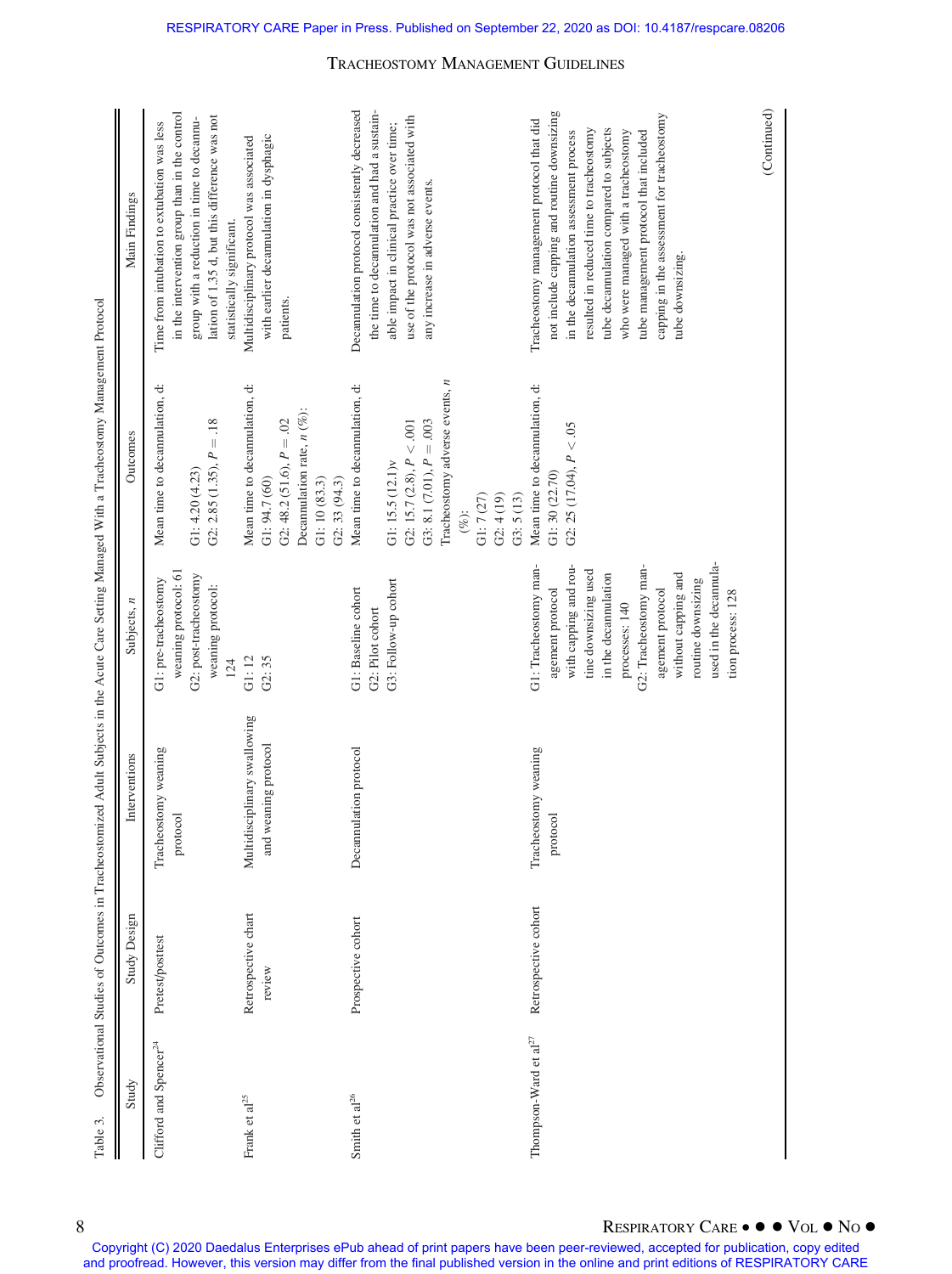| Table 3.                           |                               |                                                      |                                                                                                                                                                                                                                                                               | Observational Studies of Outcomes in Tracheostomized Adult Subjects in the Acute Care Setting Managed With a Tracheostomy Management Protocol                                                   |                                                                                                                                                                                                                                                                                                                                                                               |
|------------------------------------|-------------------------------|------------------------------------------------------|-------------------------------------------------------------------------------------------------------------------------------------------------------------------------------------------------------------------------------------------------------------------------------|-------------------------------------------------------------------------------------------------------------------------------------------------------------------------------------------------|-------------------------------------------------------------------------------------------------------------------------------------------------------------------------------------------------------------------------------------------------------------------------------------------------------------------------------------------------------------------------------|
| Study                              | Study Design                  | Interventions                                        | Subjects, $n$                                                                                                                                                                                                                                                                 | Outcomes                                                                                                                                                                                        | Main Findings                                                                                                                                                                                                                                                                                                                                                                 |
| Clifford and Spencer <sup>24</sup> | Pretest/posttest              | Tracheostomy weaning<br>protocol                     | weaning protocol: 61<br>G2: post-tracheostomy<br>G1: pre-tracheostomy<br>weaning protocol:<br>124                                                                                                                                                                             | Mean time to decannulation, d:<br>G2: $2.85(1.35), P = .18$<br>G1: 4.20 (4.23)                                                                                                                  | in the intervention group than in the control<br>lation of 1.35 d, but this difference was not<br>group with a reduction in time to decannu-<br>Time from intubation to extubation was less<br>statistically significant.                                                                                                                                                     |
| Frank et al <sup>25</sup>          | Retrospective chart<br>review | Multidisciplinary swallowing<br>and weaning protocol | G2:35<br>G1:12                                                                                                                                                                                                                                                                | Mean time to decamulation, d:<br>Decamulation rate, $n$ (%):<br>G2: 48.2 (51.6), $P = .02$<br>G1:10(83.3)<br>G2: 33(94.3)<br>G1:94.7(60)                                                        | with earlier decannulation in dysphagic<br>Multidisciplinary protocol was associated<br>patients.                                                                                                                                                                                                                                                                             |
| Smith et al <sup>26</sup>          | Prospective cohort            | Decannulation protocol                               | G3: Follow-up cohort<br>G1: Baseline cohort<br>G2: Pilot cohort                                                                                                                                                                                                               | Tracheostomy adverse events, n<br>Mean time to decamulation, d:<br>G3: 8.1 (7.01), $P = .003$<br>G2: 15.7 (2.8), $P < .001$<br>G1: 15.5 (12.1)v<br>G1:7(27)<br>G2:4(19)<br>G3:5(13)<br>$(\%)$ : | Decannulation protocol consistently decreased<br>the time to decannulation and had a sustain-<br>use of the protocol was not associated with<br>able impact in clinical practice over time;<br>any increase in adverse events.                                                                                                                                                |
| Thompson-Ward et al <sup>27</sup>  | Retrospective cohort          | Tracheostomy weaning<br>protocol                     | used in the decannula-<br>with capping and rou-<br>G1: Tracheostomy man-<br>G2: Tracheostomy man-<br>tine downsizing used<br>in the decannulation<br>without capping and<br>routine downsizing<br>agement protocol<br>agement protocol<br>tion process: 128<br>processes: 140 | Mean time to decannulation, d:<br>G2: $25(17.04)$ , $P < .05$<br>G1: 30(22.70)                                                                                                                  | not include capping and routine downsizing<br>capping in the assessment for tracheostomy<br>Tracheostomy management protocol that did<br>tube decannulation compared to subjects<br>resulted in reduced time to tracheostomy<br>tube management protocol that included<br>in the decannulation assessment process<br>who were managed with a tracheostomy<br>tube downsizing. |
|                                    |                               |                                                      |                                                                                                                                                                                                                                                                               |                                                                                                                                                                                                 | (Continued)                                                                                                                                                                                                                                                                                                                                                                   |

Observational Studies of Outcomes in Tracheostomized Adult Subjects in the Acute Care Setting Managed With a Tracheostomy Management Protocol Table 3. Observational Studies of Outcomes in Tracheostomized Adult Subjects in the Acute Care Setting Managed With a Tracheostomy Management Protocol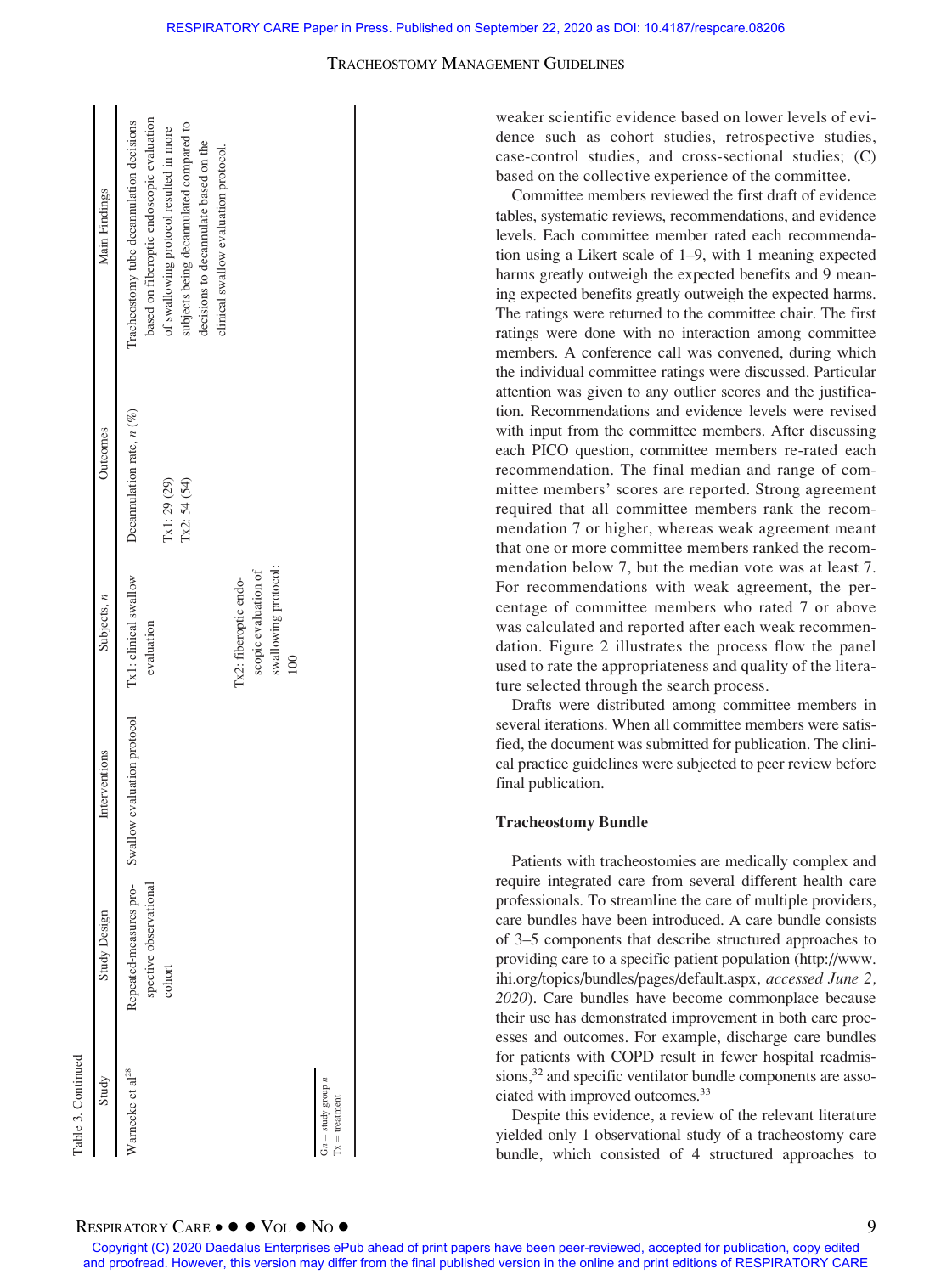weaker scientific evidence based on lower levels of evidence such as cohort studies, retrospective studies, case-control studies, and cross-sectional studies; (C) based on the collective experience of the committee.

Committee members reviewed the first draft of evidence tables, systematic reviews, recommendations, and evidence levels. Each committee member rated each recommendation using a Likert scale of 1–9, with 1 meaning expected harms greatly outweigh the expected benefits and 9 meaning expected benefits greatly outweigh the expected harms. The ratings were returned to the committee chair. The first ratings were done with no interaction among committee members. A conference call was convened, during which the individual committee ratings were discussed. Particular attention was given to any outlier scores and the justification. Recommendations and evidence levels were revised with input from the committee members. After discussing each PICO question, committee members re-rated each recommendation. The final median and range of committee members' scores are reported. Strong agreement required that all committee members rank the recommendation 7 or higher, whereas weak agreement meant that one or more committee members ranked the recommendation below 7, but the median vote was at least 7. For recommendations with weak agreement, the percentage of committee members who rated 7 or above was calculated and reported after each weak recommendation. Figure 2 illustrates the process flow the panel used to rate the appropriateness and quality of the literature selected through the search process.

Drafts were distributed among committee members in several iterations. When all committee members were satisfied, the document was submitted for publication. The clinical practice guidelines were subjected to peer review before final publication.

### Tracheostomy Bundle

Patients with tracheostomies are medically complex and require integrated care from several different health care professionals. To streamline the care of multiple providers, care bundles have been introduced. A care bundle consists of 3–5 components that describe structured approaches to providing care to a specific patient population [\(http://www.](http://www.ihi.org/topics/bundles/pages/default.aspx) [ihi.org/topics/bundles/pages/default.aspx](http://www.ihi.org/topics/bundles/pages/default.aspx), accessed June 2, 2020). Care bundles have become commonplace because their use has demonstrated improvement in both care processes and outcomes. For example, discharge care bundles for patients with COPD result in fewer hospital readmissions,<sup>32</sup> and specific ventilator bundle components are associated with improved outcomes.<sup>33</sup>

Despite this evidence, a review of the relevant literature yielded only 1 observational study of a tracheostomy care bundle, which consisted of 4 structured approaches to

| Study                                             | <b>Study Design</b>    | Interventions                                     | Subjects, $n$                       | Outcomes                    | Main Findings                                                                          |
|---------------------------------------------------|------------------------|---------------------------------------------------|-------------------------------------|-----------------------------|----------------------------------------------------------------------------------------|
| Warnecke et al <sup>28</sup>                      | spective observational | Repeated-measures pro-Swallow evaluation protocol | Tx1: clinical swallow<br>evaluation | Decannulation rate, $n(\%)$ | based on fiberoptic endoscopic evaluation<br>Tracheostomy tube decannulation decisions |
|                                                   | cohort                 |                                                   |                                     | Tx1: 29(29)                 | of swallowing protocol resulted in more                                                |
|                                                   |                        |                                                   |                                     | Tx2: 54 (54)                | subjects being decannulated compared to                                                |
|                                                   |                        |                                                   |                                     |                             | decisions to decamulate based on the                                                   |
|                                                   |                        |                                                   |                                     |                             | clinical swallow evaluation protocol.                                                  |
|                                                   |                        |                                                   | Tx2: fiberoptic endo-               |                             |                                                                                        |
|                                                   |                        |                                                   | scopic evaluation of                |                             |                                                                                        |
|                                                   |                        |                                                   | swallowing protocol:                |                             |                                                                                        |
|                                                   |                        |                                                   | 100                                 |                             |                                                                                        |
|                                                   |                        |                                                   |                                     |                             |                                                                                        |
| $G_n = \text{study group } n$<br>$Tx = treatment$ |                        |                                                   |                                     |                             |                                                                                        |

Table 3. Continued

l'able 3. Continued

RESPIRATORY  $\text{CARE} \bullet \textcolor{red}{\bullet} \textcolor{blue}{\bullet} \text{No} \textcolor{red}{\bullet}$ <br>Copyright (C) 2020 Daedalus Enterprises ePub ahead of print papers have been peer-reviewed, accepted for publication, copy edited and proofread. However, this version may differ from the final published version in the online and print editions of RESPIRATORY CARE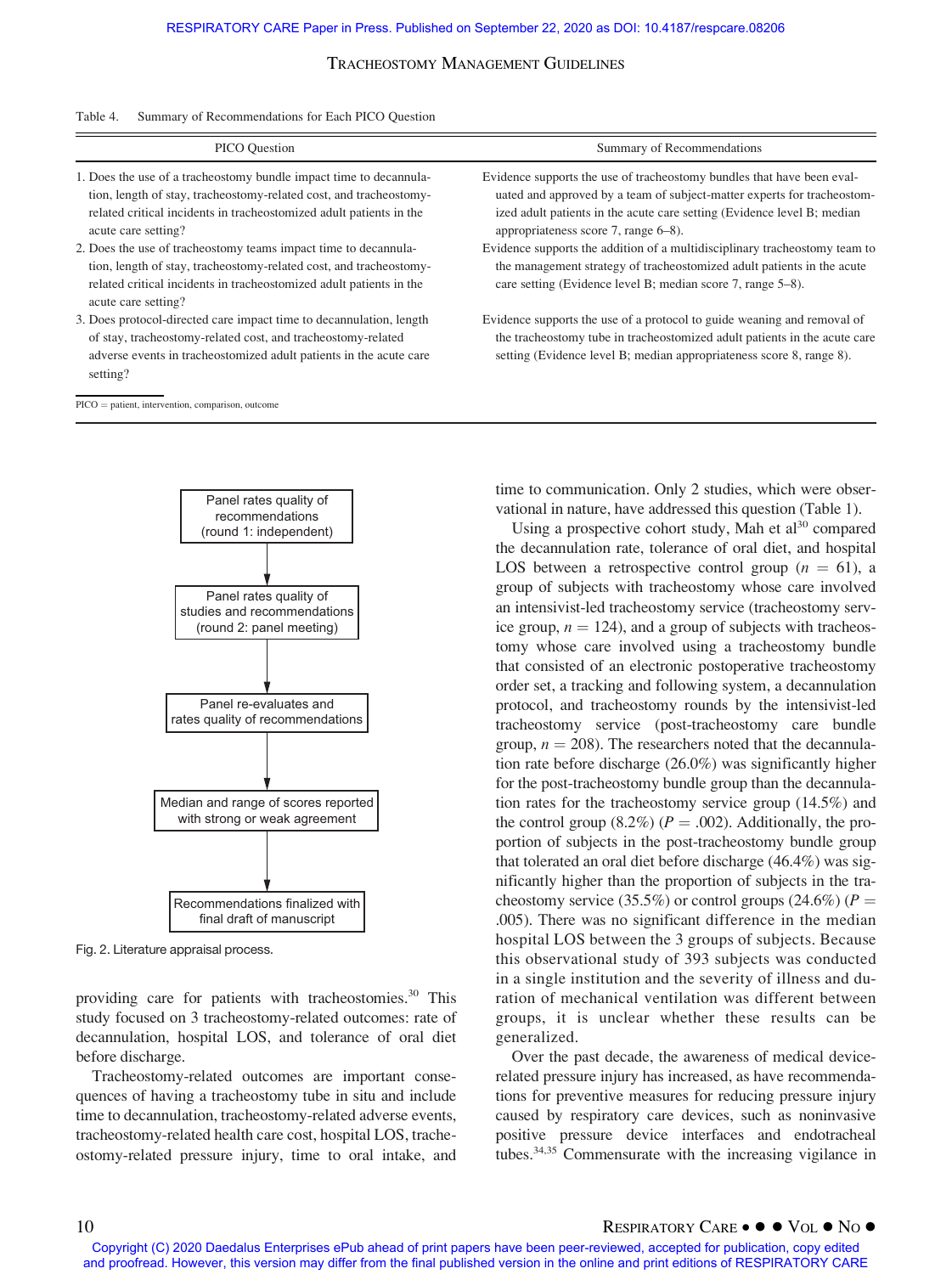### Table 4. Summary of Recommendations for Each PICO Question

| PICO Question                                                                                                                                                                                                                          | Summary of Recommendations                                                                                                                                                                                                                                           |
|----------------------------------------------------------------------------------------------------------------------------------------------------------------------------------------------------------------------------------------|----------------------------------------------------------------------------------------------------------------------------------------------------------------------------------------------------------------------------------------------------------------------|
| 1. Does the use of a tracheostomy bundle impact time to decannula-<br>tion, length of stay, tracheostomy-related cost, and tracheostomy-<br>related critical incidents in tracheostomized adult patients in the<br>acute care setting? | Evidence supports the use of tracheostomy bundles that have been eval-<br>uated and approved by a team of subject-matter experts for tracheostom-<br>ized adult patients in the acute care setting (Evidence level B; median<br>appropriateness score 7, range 6–8). |
| 2. Does the use of tracheostomy teams impact time to decannula-<br>tion, length of stay, tracheostomy-related cost, and tracheostomy-<br>related critical incidents in tracheostomized adult patients in the<br>acute care setting?    | Evidence supports the addition of a multidisciplinary tracheostomy team to<br>the management strategy of tracheostomized adult patients in the acute<br>care setting (Evidence level B; median score 7, range 5–8).                                                  |
| 3. Does protocol-directed care impact time to decannulation, length<br>of stay, tracheostomy-related cost, and tracheostomy-related<br>adverse events in tracheostomized adult patients in the acute care<br>setting?                  | Evidence supports the use of a protocol to guide weaning and removal of<br>the tracheostomy tube in tracheostomized adult patients in the acute care<br>setting (Evidence level B; median appropriateness score 8, range 8).                                         |



Fig. 2. Literature appraisal process.

providing care for patients with tracheostomies.<sup>30</sup> This study focused on 3 tracheostomy-related outcomes: rate of decannulation, hospital LOS, and tolerance of oral diet before discharge.

Tracheostomy-related outcomes are important consequences of having a tracheostomy tube in situ and include time to decannulation, tracheostomy-related adverse events, tracheostomy-related health care cost, hospital LOS, tracheostomy-related pressure injury, time to oral intake, and time to communication. Only 2 studies, which were observational in nature, have addressed this question (Table 1).

Using a prospective cohort study, Mah et  $al<sup>30</sup>$  compared the decannulation rate, tolerance of oral diet, and hospital LOS between a retrospective control group ( $n = 61$ ), a group of subjects with tracheostomy whose care involved an intensivist-led tracheostomy service (tracheostomy service group,  $n = 124$ ), and a group of subjects with tracheostomy whose care involved using a tracheostomy bundle that consisted of an electronic postoperative tracheostomy order set, a tracking and following system, a decannulation protocol, and tracheostomy rounds by the intensivist-led tracheostomy service (post-tracheostomy care bundle group,  $n = 208$ ). The researchers noted that the decannulation rate before discharge (26.0%) was significantly higher for the post-tracheostomy bundle group than the decannulation rates for the tracheostomy service group (14.5%) and the control group (8.2%) ( $P = .002$ ). Additionally, the proportion of subjects in the post-tracheostomy bundle group that tolerated an oral diet before discharge (46.4%) was significantly higher than the proportion of subjects in the tracheostomy service (35.5%) or control groups (24.6%) ( $P =$ .005). There was no significant difference in the median hospital LOS between the 3 groups of subjects. Because this observational study of 393 subjects was conducted in a single institution and the severity of illness and duration of mechanical ventilation was different between groups, it is unclear whether these results can be generalized.

Over the past decade, the awareness of medical devicerelated pressure injury has increased, as have recommendations for preventive measures for reducing pressure injury caused by respiratory care devices, such as noninvasive positive pressure device interfaces and endotracheal tubes.34,35 Commensurate with the increasing vigilance in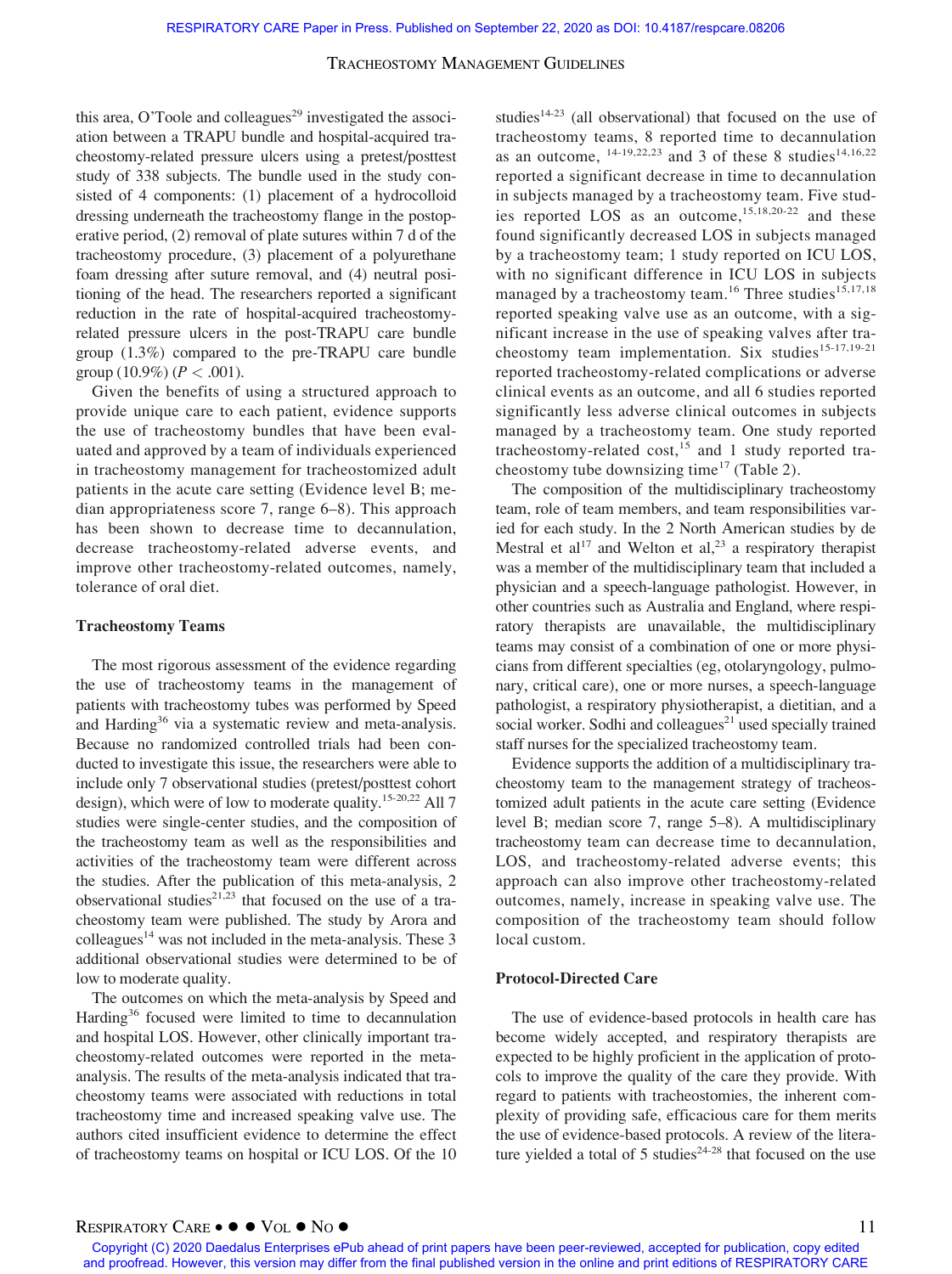this area, O'Toole and colleagues<sup>29</sup> investigated the association between a TRAPU bundle and hospital-acquired tracheostomy-related pressure ulcers using a pretest/posttest study of 338 subjects. The bundle used in the study consisted of 4 components: (1) placement of a hydrocolloid dressing underneath the tracheostomy flange in the postoperative period, (2) removal of plate sutures within 7 d of the tracheostomy procedure, (3) placement of a polyurethane foam dressing after suture removal, and (4) neutral positioning of the head. The researchers reported a significant reduction in the rate of hospital-acquired tracheostomyrelated pressure ulcers in the post-TRAPU care bundle group (1.3%) compared to the pre-TRAPU care bundle group  $(10.9\%) (P < .001)$ .

Given the benefits of using a structured approach to provide unique care to each patient, evidence supports the use of tracheostomy bundles that have been evaluated and approved by a team of individuals experienced in tracheostomy management for tracheostomized adult patients in the acute care setting (Evidence level B; median appropriateness score 7, range 6–8). This approach has been shown to decrease time to decannulation, decrease tracheostomy-related adverse events, and improve other tracheostomy-related outcomes, namely, tolerance of oral diet.

### Tracheostomy Teams

The most rigorous assessment of the evidence regarding the use of tracheostomy teams in the management of patients with tracheostomy tubes was performed by Speed and Harding<sup>36</sup> via a systematic review and meta-analysis. Because no randomized controlled trials had been conducted to investigate this issue, the researchers were able to include only 7 observational studies (pretest/posttest cohort design), which were of low to moderate quality.<sup>15-20,22</sup> All 7 studies were single-center studies, and the composition of the tracheostomy team as well as the responsibilities and activities of the tracheostomy team were different across the studies. After the publication of this meta-analysis, 2 observational studies<sup>21,23</sup> that focused on the use of a tracheostomy team were published. The study by Arora and colleagues<sup>14</sup> was not included in the meta-analysis. These 3 additional observational studies were determined to be of low to moderate quality.

The outcomes on which the meta-analysis by Speed and Harding<sup>36</sup> focused were limited to time to decannulation and hospital LOS. However, other clinically important tracheostomy-related outcomes were reported in the metaanalysis. The results of the meta-analysis indicated that tracheostomy teams were associated with reductions in total tracheostomy time and increased speaking valve use. The authors cited insufficient evidence to determine the effect of tracheostomy teams on hospital or ICU LOS. Of the 10 studies<sup>14-23</sup> (all observational) that focused on the use of tracheostomy teams, 8 reported time to decannulation as an outcome,  $14-19,22,23$  and 3 of these 8 studies<sup>14,16,22</sup> reported a significant decrease in time to decannulation in subjects managed by a tracheostomy team. Five studies reported LOS as an outcome,  $15,18,20-22$  and these found significantly decreased LOS in subjects managed by a tracheostomy team; 1 study reported on ICU LOS, with no significant difference in ICU LOS in subjects managed by a tracheostomy team.<sup>16</sup> Three studies<sup>15,17,18</sup> reported speaking valve use as an outcome, with a significant increase in the use of speaking valves after tracheostomy team implementation. Six studies<sup>15-17,19-21</sup> reported tracheostomy-related complications or adverse clinical events as an outcome, and all 6 studies reported significantly less adverse clinical outcomes in subjects managed by a tracheostomy team. One study reported tracheostomy-related  $cost<sub>15</sub>$  and 1 study reported tracheostomy tube downsizing time<sup>17</sup> (Table 2).

The composition of the multidisciplinary tracheostomy team, role of team members, and team responsibilities varied for each study. In the 2 North American studies by de Mestral et al<sup>17</sup> and Welton et al,<sup>23</sup> a respiratory therapist was a member of the multidisciplinary team that included a physician and a speech-language pathologist. However, in other countries such as Australia and England, where respiratory therapists are unavailable, the multidisciplinary teams may consist of a combination of one or more physicians from different specialties (eg, otolaryngology, pulmonary, critical care), one or more nurses, a speech-language pathologist, a respiratory physiotherapist, a dietitian, and a social worker. Sodhi and colleagues $^{21}$  used specially trained staff nurses for the specialized tracheostomy team.

Evidence supports the addition of a multidisciplinary tracheostomy team to the management strategy of tracheostomized adult patients in the acute care setting (Evidence level B; median score 7, range 5–8). A multidisciplinary tracheostomy team can decrease time to decannulation, LOS, and tracheostomy-related adverse events; this approach can also improve other tracheostomy-related outcomes, namely, increase in speaking valve use. The composition of the tracheostomy team should follow local custom.

## Protocol-Directed Care

The use of evidence-based protocols in health care has become widely accepted, and respiratory therapists are expected to be highly proficient in the application of protocols to improve the quality of the care they provide. With regard to patients with tracheostomies, the inherent complexity of providing safe, efficacious care for them merits the use of evidence-based protocols. A review of the literature yielded a total of 5 studies<sup>24-28</sup> that focused on the use

RESPIRATORY  $\text{CARE} \bullet \textcolor{red}{\bullet} \textcolor{blue}{\bullet} \text{No} \textcolor{red}{\bullet}$ <br>Copyright (C) 2020 Daedalus Enterprises ePub ahead of print papers have been peer-reviewed, accepted for publication, copy edited and proofread. However, this version may differ from the final published version in the online and print editions of RESPIRATORY CARE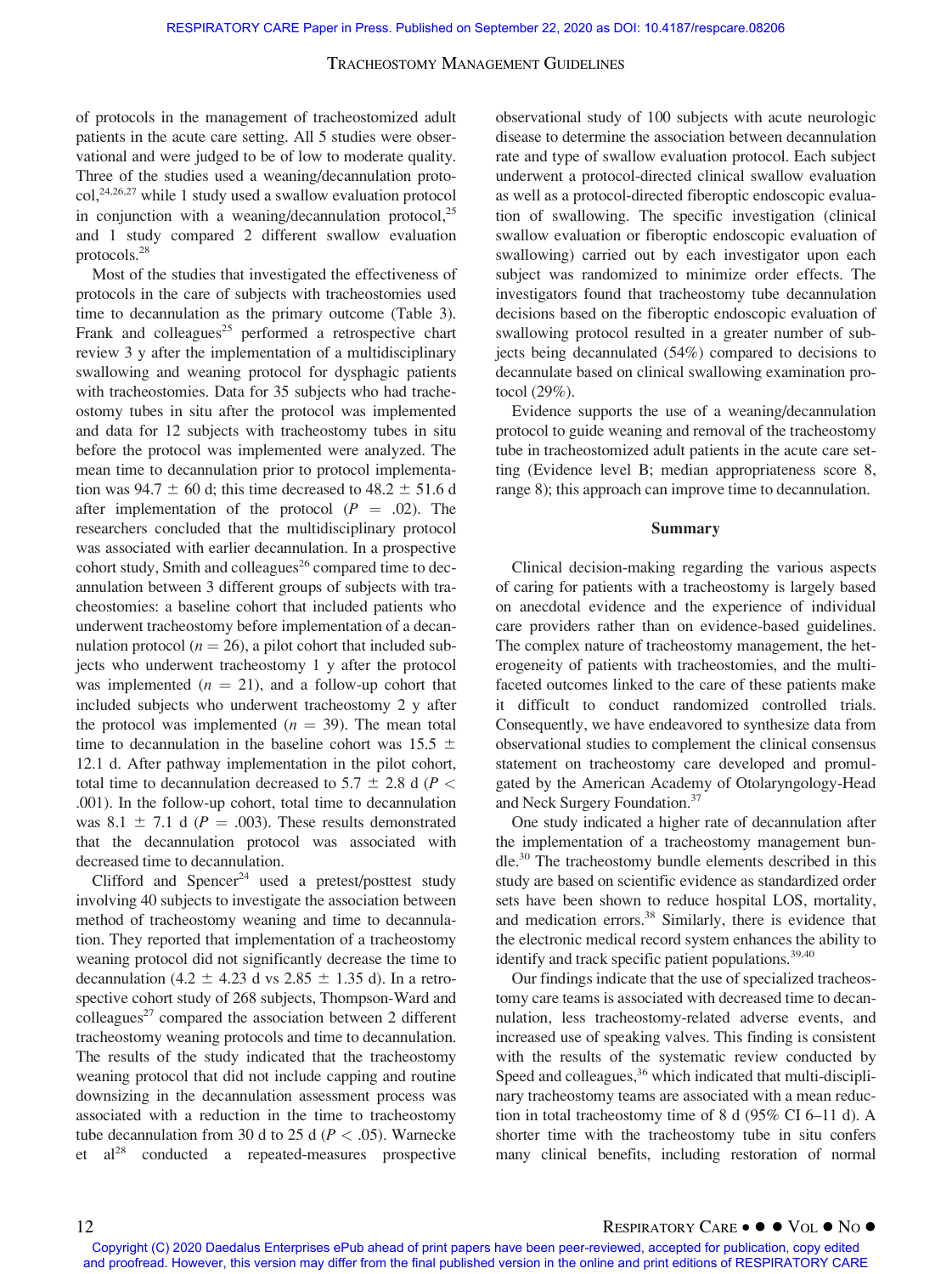of protocols in the management of tracheostomized adult patients in the acute care setting. All 5 studies were observational and were judged to be of low to moderate quality. Three of the studies used a weaning/decannulation proto $col<sub>1</sub><sup>24,26,27</sup>$  while 1 study used a swallow evaluation protocol in conjunction with a weaning/decannulation protocol, $^{25}$ and 1 study compared 2 different swallow evaluation protocols.28

Most of the studies that investigated the effectiveness of protocols in the care of subjects with tracheostomies used time to decannulation as the primary outcome (Table 3). Frank and colleagues<sup>25</sup> performed a retrospective chart review 3 y after the implementation of a multidisciplinary swallowing and weaning protocol for dysphagic patients with tracheostomies. Data for 35 subjects who had tracheostomy tubes in situ after the protocol was implemented and data for 12 subjects with tracheostomy tubes in situ before the protocol was implemented were analyzed. The mean time to decannulation prior to protocol implementation was 94.7  $\pm$  60 d; this time decreased to 48.2  $\pm$  51.6 d after implementation of the protocol  $(P = .02)$ . The researchers concluded that the multidisciplinary protocol was associated with earlier decannulation. In a prospective cohort study, Smith and colleagues<sup>26</sup> compared time to decannulation between 3 different groups of subjects with tracheostomies: a baseline cohort that included patients who underwent tracheostomy before implementation of a decannulation protocol ( $n = 26$ ), a pilot cohort that included subjects who underwent tracheostomy 1 y after the protocol was implemented  $(n = 21)$ , and a follow-up cohort that included subjects who underwent tracheostomy 2 y after the protocol was implemented  $(n = 39)$ . The mean total time to decannulation in the baseline cohort was 15.5  $\pm$ 12.1 d. After pathway implementation in the pilot cohort, total time to decannulation decreased to 5.7  $\pm$  2.8 d (P < .001). In the follow-up cohort, total time to decannulation was 8.1  $\pm$  7.1 d (P = .003). These results demonstrated that the decannulation protocol was associated with decreased time to decannulation.

Clifford and Spencer<sup>24</sup> used a pretest/posttest study involving 40 subjects to investigate the association between method of tracheostomy weaning and time to decannulation. They reported that implementation of a tracheostomy weaning protocol did not significantly decrease the time to decannulation (4.2  $\pm$  4.23 d vs 2.85  $\pm$  1.35 d). In a retrospective cohort study of 268 subjects, Thompson-Ward and colleagues<sup>27</sup> compared the association between 2 different tracheostomy weaning protocols and time to decannulation. The results of the study indicated that the tracheostomy weaning protocol that did not include capping and routine downsizing in the decannulation assessment process was associated with a reduction in the time to tracheostomy tube decannulation from 30 d to 25 d ( $P < .05$ ). Warnecke et  $al^{28}$  conducted a repeated-measures prospective

observational study of 100 subjects with acute neurologic disease to determine the association between decannulation rate and type of swallow evaluation protocol. Each subject underwent a protocol-directed clinical swallow evaluation as well as a protocol-directed fiberoptic endoscopic evaluation of swallowing. The specific investigation (clinical swallow evaluation or fiberoptic endoscopic evaluation of swallowing) carried out by each investigator upon each subject was randomized to minimize order effects. The investigators found that tracheostomy tube decannulation decisions based on the fiberoptic endoscopic evaluation of swallowing protocol resulted in a greater number of subjects being decannulated (54%) compared to decisions to decannulate based on clinical swallowing examination protocol (29%).

Evidence supports the use of a weaning/decannulation protocol to guide weaning and removal of the tracheostomy tube in tracheostomized adult patients in the acute care setting (Evidence level B; median appropriateness score 8, range 8); this approach can improve time to decannulation.

### Summary

Clinical decision-making regarding the various aspects of caring for patients with a tracheostomy is largely based on anecdotal evidence and the experience of individual care providers rather than on evidence-based guidelines. The complex nature of tracheostomy management, the heterogeneity of patients with tracheostomies, and the multifaceted outcomes linked to the care of these patients make it difficult to conduct randomized controlled trials. Consequently, we have endeavored to synthesize data from observational studies to complement the clinical consensus statement on tracheostomy care developed and promulgated by the American Academy of Otolaryngology-Head and Neck Surgery Foundation.37

One study indicated a higher rate of decannulation after the implementation of a tracheostomy management bundle.30 The tracheostomy bundle elements described in this study are based on scientific evidence as standardized order sets have been shown to reduce hospital LOS, mortality, and medication errors.38 Similarly, there is evidence that the electronic medical record system enhances the ability to identify and track specific patient populations.<sup>39,40</sup>

Our findings indicate that the use of specialized tracheostomy care teams is associated with decreased time to decannulation, less tracheostomy-related adverse events, and increased use of speaking valves. This finding is consistent with the results of the systematic review conducted by Speed and colleagues,<sup>36</sup> which indicated that multi-disciplinary tracheostomy teams are associated with a mean reduction in total tracheostomy time of 8 d (95% CI 6–11 d). A shorter time with the tracheostomy tube in situ confers many clinical benefits, including restoration of normal

<sup>12</sup> RESPIRATORY CARE ● ● VOL ● NO ●<br>Copyright (C) 2020 Daedalus Enterprises ePub ahead of print papers have been peer-reviewed, accepted for publication, copy edited and proofread. However, this version may differ from the final published version in the online and print editions of RESPIRATORY CARE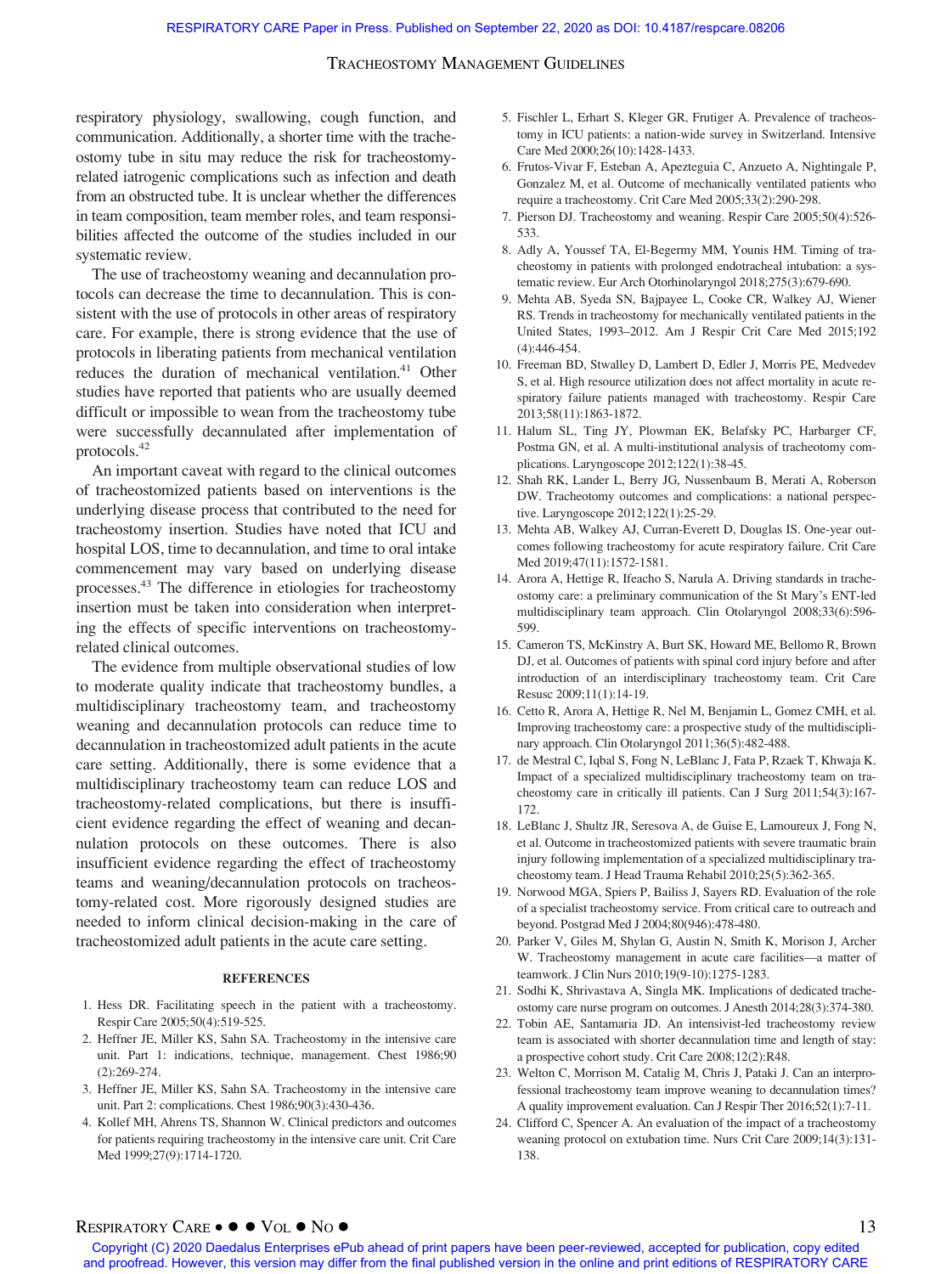respiratory physiology, swallowing, cough function, and communication. Additionally, a shorter time with the tracheostomy tube in situ may reduce the risk for tracheostomyrelated iatrogenic complications such as infection and death from an obstructed tube. It is unclear whether the differences in team composition, team member roles, and team responsibilities affected the outcome of the studies included in our systematic review.

The use of tracheostomy weaning and decannulation protocols can decrease the time to decannulation. This is consistent with the use of protocols in other areas of respiratory care. For example, there is strong evidence that the use of protocols in liberating patients from mechanical ventilation reduces the duration of mechanical ventilation.<sup>41</sup> Other studies have reported that patients who are usually deemed difficult or impossible to wean from the tracheostomy tube were successfully decannulated after implementation of protocols.42

An important caveat with regard to the clinical outcomes of tracheostomized patients based on interventions is the underlying disease process that contributed to the need for tracheostomy insertion. Studies have noted that ICU and hospital LOS, time to decannulation, and time to oral intake commencement may vary based on underlying disease processes.43 The difference in etiologies for tracheostomy insertion must be taken into consideration when interpreting the effects of specific interventions on tracheostomyrelated clinical outcomes.

The evidence from multiple observational studies of low to moderate quality indicate that tracheostomy bundles, a multidisciplinary tracheostomy team, and tracheostomy weaning and decannulation protocols can reduce time to decannulation in tracheostomized adult patients in the acute care setting. Additionally, there is some evidence that a multidisciplinary tracheostomy team can reduce LOS and tracheostomy-related complications, but there is insufficient evidence regarding the effect of weaning and decannulation protocols on these outcomes. There is also insufficient evidence regarding the effect of tracheostomy teams and weaning/decannulation protocols on tracheostomy-related cost. More rigorously designed studies are needed to inform clinical decision-making in the care of tracheostomized adult patients in the acute care setting.

#### REFERENCES

- 1. Hess DR. Facilitating speech in the patient with a tracheostomy. Respir Care 2005;50(4):519-525.
- 2. Heffner JE, Miller KS, Sahn SA. Tracheostomy in the intensive care unit. Part 1: indications, technique, management. Chest 1986;90 (2):269-274.
- 3. Heffner JE, Miller KS, Sahn SA. Tracheostomy in the intensive care unit. Part 2: complications. Chest 1986;90(3):430-436.
- 4. Kollef MH, Ahrens TS, Shannon W. Clinical predictors and outcomes for patients requiring tracheostomy in the intensive care unit. Crit Care Med 1999;27(9):1714-1720.
- 5. Fischler L, Erhart S, Kleger GR, Frutiger A. Prevalence of tracheostomy in ICU patients: a nation-wide survey in Switzerland. Intensive Care Med 2000;26(10):1428-1433.
- 6. Frutos-Vivar F, Esteban A, Apezteguia C, Anzueto A, Nightingale P, Gonzalez M, et al. Outcome of mechanically ventilated patients who require a tracheostomy. Crit Care Med 2005;33(2):290-298.
- 7. Pierson DJ. Tracheostomy and weaning. Respir Care 2005;50(4):526- 533.
- 8. Adly A, Youssef TA, El-Begermy MM, Younis HM. Timing of tracheostomy in patients with prolonged endotracheal intubation: a systematic review. Eur Arch Otorhinolaryngol 2018;275(3):679-690.
- 9. Mehta AB, Syeda SN, Bajpayee L, Cooke CR, Walkey AJ, Wiener RS. Trends in tracheostomy for mechanically ventilated patients in the United States, 1993–2012. Am J Respir Crit Care Med 2015;192 (4):446-454.
- 10. Freeman BD, Stwalley D, Lambert D, Edler J, Morris PE, Medvedev S, et al. High resource utilization does not affect mortality in acute respiratory failure patients managed with tracheostomy. Respir Care 2013;58(11):1863-1872.
- 11. Halum SL, Ting JY, Plowman EK, Belafsky PC, Harbarger CF, Postma GN, et al. A multi-institutional analysis of tracheotomy complications. Laryngoscope 2012;122(1):38-45.
- 12. Shah RK, Lander L, Berry JG, Nussenbaum B, Merati A, Roberson DW. Tracheotomy outcomes and complications: a national perspective. Laryngoscope 2012;122(1):25-29.
- 13. Mehta AB, Walkey AJ, Curran-Everett D, Douglas IS. One-year outcomes following tracheostomy for acute respiratory failure. Crit Care Med 2019;47(11):1572-1581.
- 14. Arora A, Hettige R, Ifeacho S, Narula A. Driving standards in tracheostomy care: a preliminary communication of the St Mary's ENT-led multidisciplinary team approach. Clin Otolaryngol 2008;33(6):596- 599.
- 15. Cameron TS, McKinstry A, Burt SK, Howard ME, Bellomo R, Brown DJ, et al. Outcomes of patients with spinal cord injury before and after introduction of an interdisciplinary tracheostomy team. Crit Care Resusc 2009;11(1):14-19.
- 16. Cetto R, Arora A, Hettige R, Nel M, Benjamin L, Gomez CMH, et al. Improving tracheostomy care: a prospective study of the multidisciplinary approach. Clin Otolaryngol 2011;36(5):482-488.
- 17. de Mestral C, Iqbal S, Fong N, LeBlanc J, Fata P, Rzaek T, Khwaja K. Impact of a specialized multidisciplinary tracheostomy team on tracheostomy care in critically ill patients. Can J Surg 2011;54(3):167- 172.
- 18. LeBlanc J, Shultz JR, Seresova A, de Guise E, Lamoureux J, Fong N, et al. Outcome in tracheostomized patients with severe traumatic brain injury following implementation of a specialized multidisciplinary tracheostomy team. J Head Trauma Rehabil 2010;25(5):362-365.
- 19. Norwood MGA, Spiers P, Bailiss J, Sayers RD. Evaluation of the role of a specialist tracheostomy service. From critical care to outreach and beyond. Postgrad Med J 2004;80(946):478-480.
- 20. Parker V, Giles M, Shylan G, Austin N, Smith K, Morison J, Archer W. Tracheostomy management in acute care facilities—a matter of teamwork. J Clin Nurs 2010;19(9-10):1275-1283.
- 21. Sodhi K, Shrivastava A, Singla MK. Implications of dedicated tracheostomy care nurse program on outcomes. J Anesth 2014;28(3):374-380.
- 22. Tobin AE, Santamaria JD. An intensivist-led tracheostomy review team is associated with shorter decannulation time and length of stay: a prospective cohort study. Crit Care 2008;12(2):R48.
- 23. Welton C, Morrison M, Catalig M, Chris J, Pataki J. Can an interprofessional tracheostomy team improve weaning to decannulation times? A quality improvement evaluation. Can J Respir Ther 2016;52(1):7-11.
- 24. Clifford C, Spencer A. An evaluation of the impact of a tracheostomy weaning protocol on extubation time. Nurs Crit Care 2009;14(3):131- 138.